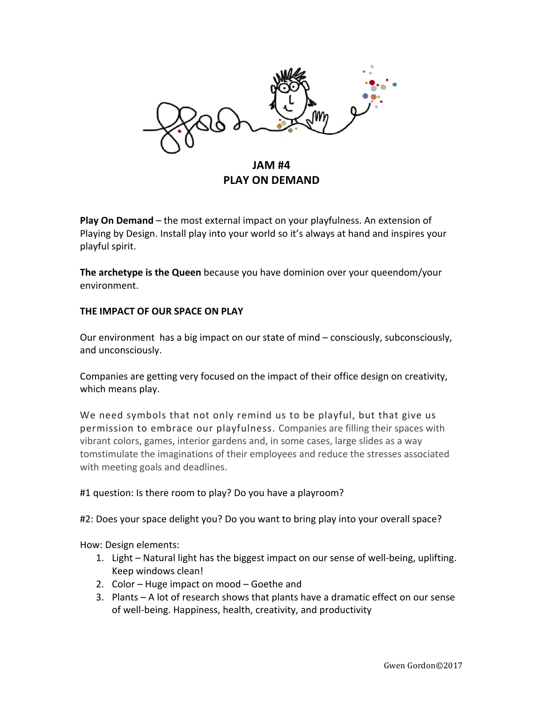

**Play On Demand** – the most external impact on your playfulness. An extension of Playing by Design. Install play into your world so it's always at hand and inspires your playful spirit.

**The archetype is the Queen** because you have dominion over your queendom/your environment. 

## **THE IMPACT OF OUR SPACE ON PLAY**

Our environment has a big impact on our state of mind – consciously, subconsciously, and unconsciously.

Companies are getting very focused on the impact of their office design on creativity, which means play.

We need symbols that not only remind us to be playful, but that give us permission to embrace our playfulness. Companies are filling their spaces with vibrant colors, games, interior gardens and, in some cases, large slides as a way tomstimulate the imaginations of their employees and reduce the stresses associated with meeting goals and deadlines.

### #1 question: Is there room to play? Do you have a playroom?

#2: Does your space delight you? Do you want to bring play into your overall space?

How: Design elements:

- 1. Light Natural light has the biggest impact on our sense of well-being, uplifting. Keep windows clean!
- 2. Color  $-$  Huge impact on mood  $-$  Goethe and
- 3. Plants  $-$  A lot of research shows that plants have a dramatic effect on our sense of well-being. Happiness, health, creativity, and productivity